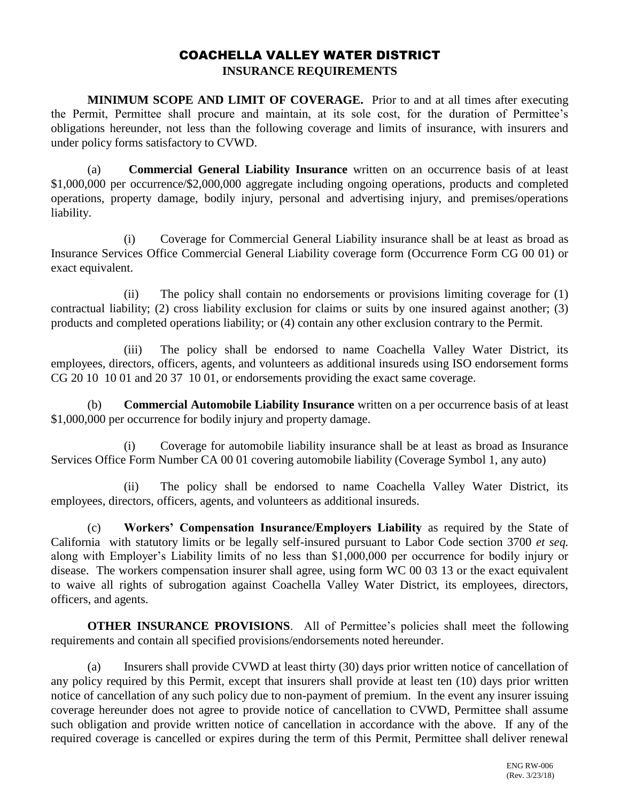## COACHELLA VALLEY WATER DISTRICT **INSURANCE REQUIREMENTS**

**MINIMUM SCOPE AND LIMIT OF COVERAGE.** Prior to and at all times after executing the Permit, Permittee shall procure and maintain, at its sole cost, for the duration of Permittee's obligations hereunder, not less than the following coverage and limits of insurance, with insurers and under policy forms satisfactory to CVWD.

(a) **Commercial General Liability Insurance** written on an occurrence basis of at least \$1,000,000 per occurrence/\$2,000,000 aggregate including ongoing operations, products and completed operations, property damage, bodily injury, personal and advertising injury, and premises/operations liability.

(i) Coverage for Commercial General Liability insurance shall be at least as broad as Insurance Services Office Commercial General Liability coverage form (Occurrence Form CG 00 01) or exact equivalent.

(ii) The policy shall contain no endorsements or provisions limiting coverage for (1) contractual liability; (2) cross liability exclusion for claims or suits by one insured against another; (3) products and completed operations liability; or (4) contain any other exclusion contrary to the Permit.

(iii) The policy shall be endorsed to name Coachella Valley Water District, its employees, directors, officers, agents, and volunteers as additional insureds using ISO endorsement forms CG 20 10 10 01 and 20 37 10 01, or endorsements providing the exact same coverage.

(b) **Commercial Automobile Liability Insurance** written on a per occurrence basis of at least \$1,000,000 per occurrence for bodily injury and property damage.

(i) Coverage for automobile liability insurance shall be at least as broad as Insurance Services Office Form Number CA 00 01 covering automobile liability (Coverage Symbol 1, any auto)

(ii) The policy shall be endorsed to name Coachella Valley Water District, its employees, directors, officers, agents, and volunteers as additional insureds.

(c) **Workers' Compensation Insurance/Employers Liability** as required by the State of California with statutory limits or be legally self-insured pursuant to Labor Code section 3700 *et seq.* along with Employer's Liability limits of no less than \$1,000,000 per occurrence for bodily injury or disease. The workers compensation insurer shall agree, using form WC 00 03 13 or the exact equivalent to waive all rights of subrogation against Coachella Valley Water District, its employees, directors, officers, and agents.

**OTHER INSURANCE PROVISIONS**. All of Permittee's policies shall meet the following requirements and contain all specified provisions/endorsements noted hereunder.

(a) Insurers shall provide CVWD at least thirty (30) days prior written notice of cancellation of any policy required by this Permit, except that insurers shall provide at least ten (10) days prior written notice of cancellation of any such policy due to non-payment of premium. In the event any insurer issuing coverage hereunder does not agree to provide notice of cancellation to CVWD, Permittee shall assume such obligation and provide written notice of cancellation in accordance with the above. If any of the required coverage is cancelled or expires during the term of this Permit, Permittee shall deliver renewal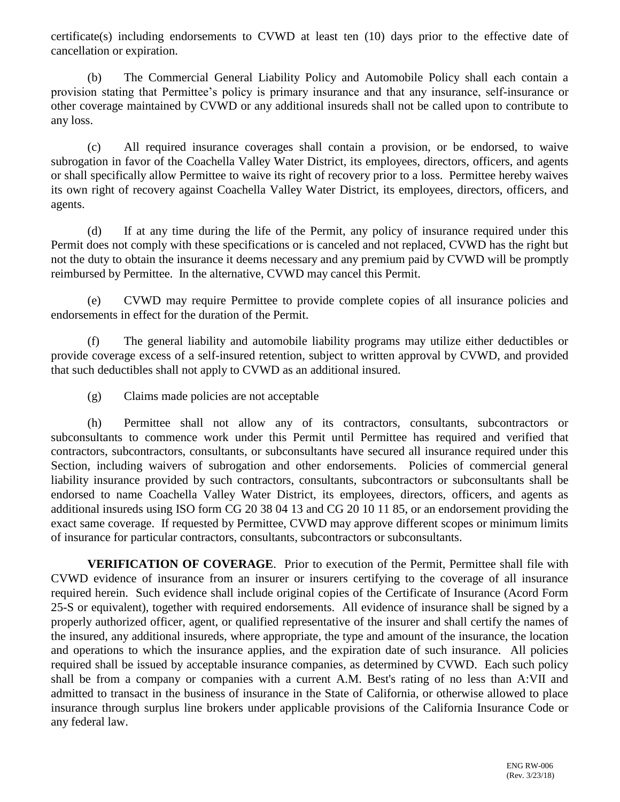certificate(s) including endorsements to CVWD at least ten (10) days prior to the effective date of cancellation or expiration.

(b) The Commercial General Liability Policy and Automobile Policy shall each contain a provision stating that Permittee's policy is primary insurance and that any insurance, self-insurance or other coverage maintained by CVWD or any additional insureds shall not be called upon to contribute to any loss.

(c) All required insurance coverages shall contain a provision, or be endorsed, to waive subrogation in favor of the Coachella Valley Water District, its employees, directors, officers, and agents or shall specifically allow Permittee to waive its right of recovery prior to a loss. Permittee hereby waives its own right of recovery against Coachella Valley Water District, its employees, directors, officers, and agents.

(d) If at any time during the life of the Permit, any policy of insurance required under this Permit does not comply with these specifications or is canceled and not replaced, CVWD has the right but not the duty to obtain the insurance it deems necessary and any premium paid by CVWD will be promptly reimbursed by Permittee. In the alternative, CVWD may cancel this Permit.

(e) CVWD may require Permittee to provide complete copies of all insurance policies and endorsements in effect for the duration of the Permit.

(f) The general liability and automobile liability programs may utilize either deductibles or provide coverage excess of a self-insured retention, subject to written approval by CVWD, and provided that such deductibles shall not apply to CVWD as an additional insured.

(g) Claims made policies are not acceptable

(h) Permittee shall not allow any of its contractors, consultants, subcontractors or subconsultants to commence work under this Permit until Permittee has required and verified that contractors, subcontractors, consultants, or subconsultants have secured all insurance required under this Section, including waivers of subrogation and other endorsements. Policies of commercial general liability insurance provided by such contractors, consultants, subcontractors or subconsultants shall be endorsed to name Coachella Valley Water District, its employees, directors, officers, and agents as additional insureds using ISO form CG 20 38 04 13 and CG 20 10 11 85, or an endorsement providing the exact same coverage. If requested by Permittee, CVWD may approve different scopes or minimum limits of insurance for particular contractors, consultants, subcontractors or subconsultants.

**VERIFICATION OF COVERAGE**. Prior to execution of the Permit, Permittee shall file with CVWD evidence of insurance from an insurer or insurers certifying to the coverage of all insurance required herein. Such evidence shall include original copies of the Certificate of Insurance (Acord Form 25-S or equivalent), together with required endorsements. All evidence of insurance shall be signed by a properly authorized officer, agent, or qualified representative of the insurer and shall certify the names of the insured, any additional insureds, where appropriate, the type and amount of the insurance, the location and operations to which the insurance applies, and the expiration date of such insurance. All policies required shall be issued by acceptable insurance companies, as determined by CVWD. Each such policy shall be from a company or companies with a current A.M. Best's rating of no less than A:VII and admitted to transact in the business of insurance in the State of California, or otherwise allowed to place insurance through surplus line brokers under applicable provisions of the California Insurance Code or any federal law.